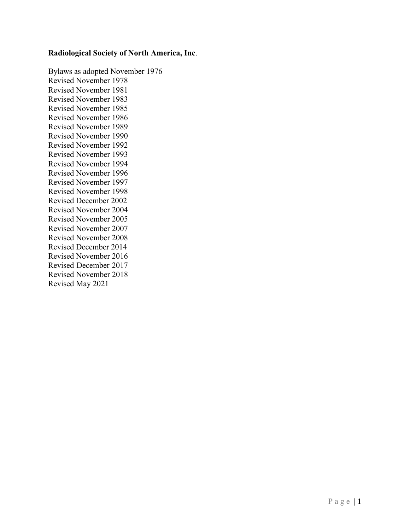### **Radiological Society of North America, Inc**.

Bylaws as adopted November 1976 Revised November 1978 Revised November 1981 Revised November 1983 Revised November 1985 Revised November 1986 Revised November 1989 Revised November 1990 Revised November 1992 Revised November 1993 Revised November 1994 Revised November 1996 Revised November 1997 Revised November 1998 Revised December 2002 Revised November 2004 Revised November 2005 Revised November 2007 Revised November 2008 Revised December 2014 Revised November 2016 Revised December 2017 Revised November 2018 Revised May 2021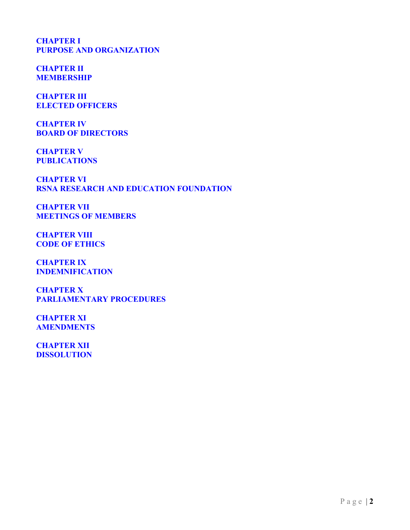**[CHAPTER I](#page-2-0) [PURPOSE AND ORGANIZATION](#page-2-0)**

**[CHAPTER II](#page-2-1) [MEMBERSHIP](#page-2-1)**

**[CHAPTER III](#page-7-0) [ELECTED OFFICERS](#page-7-0)**

**[CHAPTER IV](#page-8-0) [BOARD OF DIRECTORS](#page-8-0)**

<span id="page-1-0"></span>**[CHAPTER V](#page-12-0) [PUBLICATIONS](#page-12-0)**

**[CHAPTER VI](#page-12-1) [RSNA RESEARCH AND EDUCATION FOUNDATION](#page-12-1)**

<span id="page-1-1"></span>**[CHAPTER VII](#page-12-2) [MEETINGS OF MEMBERS](#page-12-2)**

**[CHAPTER VIII](#page-13-0) [CODE OF ETHICS](#page-13-0)**

**[CHAPTER IX](#page-13-1) [INDEMNIFICATION](#page-13-1)**

**[CHAPTER X](#page-14-0) [PARLIAMENTARY PROCEDURES](#page-14-0)**

<span id="page-1-2"></span>**[CHAPTER XI](#page-14-1) [AMENDMENTS](#page-14-1)**

**[CHAPTER XII](#page-14-2) [DISSOLUTION](#page-14-2)**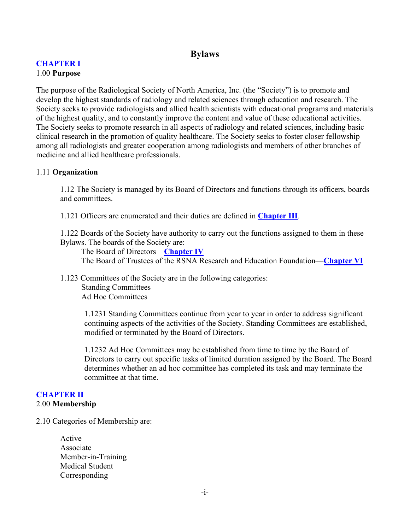## **Bylaws**

#### <span id="page-2-0"></span>**CHAPTER I** 1.00 **Purpose**

The purpose of the Radiological Society of North America, Inc. (the "Society") is to promote and develop the highest standards of radiology and related sciences through education and research. The Society seeks to provide radiologists and allied health scientists with educational programs and materials of the highest quality, and to constantly improve the content and value of these educational activities. The Society seeks to promote research in all aspects of radiology and related sciences, including basic clinical research in the promotion of quality healthcare. The Society seeks to foster closer fellowship among all radiologists and greater cooperation among radiologists and members of other branches of medicine and allied healthcare professionals.

#### 1.11 **Organization**

1.12 The Society is managed by its Board of Directors and functions through its officers, boards and committees.

1.121 Officers are enumerated and their duties are defined in **[Chapter III](#page-7-0)**.

1.122 Boards of the Society have authority to carry out the functions assigned to them in these Bylaws. The boards of the Society are:

The Board of Directors—**[Chapter IV](#page-8-0)** The Board of Trustees of the RSNA Research and Education Foundation—**[Chapter VI](#page-12-3)**

<span id="page-2-2"></span>1.123 Committees of the Society are in the following categories: Standing Committees Ad Hoc Committees

> 1.1231 Standing Committees continue from year to year in order to address significant continuing aspects of the activities of the Society. Standing Committees are established, modified or terminated by the Board of Directors.

1.1232 Ad Hoc Committees may be established from time to time by the Board of Directors to carry out specific tasks of limited duration assigned by the Board. The Board determines whether an ad hoc committee has completed its task and may terminate the committee at that time.

#### <span id="page-2-1"></span>**CHAPTER II** 2.00 **Membership**

- 2.10 Categories of Membership are:
	- Active Associate Member-in-Training Medical Student Corresponding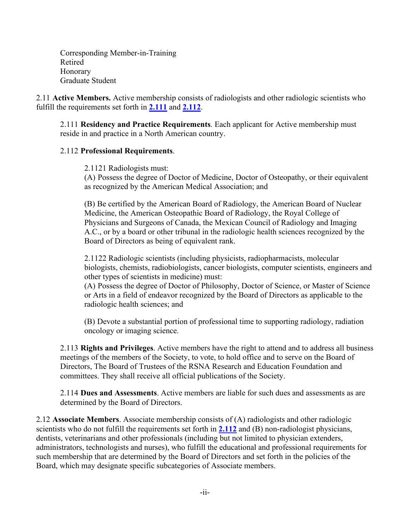Corresponding Member-in-Training Retired Honorary Graduate Student

<span id="page-3-3"></span>2.11 **Active Members.** Active membership consists of radiologists and other radiologic scientists who fulfill the requirements set forth in **[2.111](#page-3-0)** and **[2.112](#page-3-1)**.

<span id="page-3-0"></span>2.111 **Residency and Practice Requirements**. Each applicant for Active membership must reside in and practice in a North American country.

## <span id="page-3-5"></span><span id="page-3-1"></span>2.112 **Professional Requirements**.

2.1121 Radiologists must:

(A) Possess the degree of Doctor of Medicine, Doctor of Osteopathy, or their equivalent as recognized by the American Medical Association; and

(B) Be certified by the American Board of Radiology, the American Board of Nuclear Medicine, the American Osteopathic Board of Radiology, the Royal College of Physicians and Surgeons of Canada, the Mexican Council of Radiology and Imaging A.C., or by a board or other tribunal in the radiologic health sciences recognized by the Board of Directors as being of equivalent rank.

2.1122 Radiologic scientists (including physicists, radiopharmacists, molecular biologists, chemists, radiobiologists, cancer biologists, computer scientists, engineers and other types of scientists in medicine) must:

(A) Possess the degree of Doctor of Philosophy, Doctor of Science, or Master of Science or Arts in a field of endeavor recognized by the Board of Directors as applicable to the radiologic health sciences; and

(B) Devote a substantial portion of professional time to supporting radiology, radiation oncology or imaging science.

<span id="page-3-2"></span>2.113 **Rights and Privileges**. Active members have the right to attend and to address all business meetings of the members of the Society, to vote, to hold office and to serve on the Board of Directors, The Board of Trustees of the RSNA Research and Education Foundation and committees. They shall receive all official publications of the Society.

2.114 **Dues and Assessments**. Active members are liable for such dues and assessments as are determined by the Board of Directors.

<span id="page-3-4"></span>2.12 **Associate Members**. Associate membership consists of (A) radiologists and other radiologic scientists who do not fulfill the requirements set forth in **[2.112](#page-3-1)** and (B) non-radiologist physicians, dentists, veterinarians and other professionals (including but not limited to physician extenders, administrators, technologists and nurses), who fulfill the educational and professional requirements for such membership that are determined by the Board of Directors and set forth in the policies of the Board, which may designate specific subcategories of Associate members.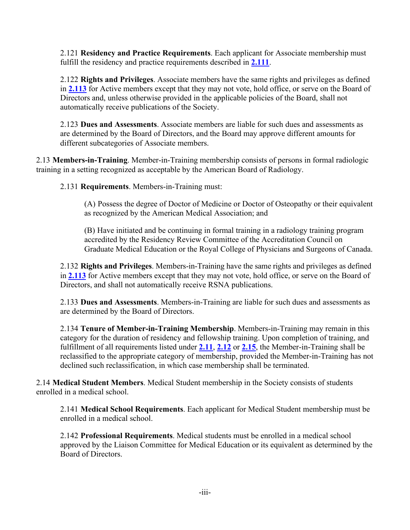2.121 **Residency and Practice Requirements**. Each applicant for Associate membership must fulfill the residency and practice requirements described in **[2.111](#page-3-0)**.

2.122 **Rights and Privileges**. Associate members have the same rights and privileges as defined in **[2.113](#page-3-2)** for Active members except that they may not vote, hold office, or serve on the Board of Directors and, unless otherwise provided in the applicable policies of the Board, shall not automatically receive publications of the Society.

2.123 **Dues and Assessments**. Associate members are liable for such dues and assessments as are determined by the Board of Directors, and the Board may approve different amounts for different subcategories of Associate members.

2.13 **Members-in-Training**. Member-in-Training membership consists of persons in formal radiologic training in a setting recognized as acceptable by the American Board of Radiology.

2.131 **Requirements**. Members-in-Training must:

(A) Possess the degree of Doctor of Medicine or Doctor of Osteopathy or their equivalent as recognized by the American Medical Association; and

(B) Have initiated and be continuing in formal training in a radiology training program accredited by the Residency Review Committee of the Accreditation Council on Graduate Medical Education or the Royal College of Physicians and Surgeons of Canada.

2.132 **Rights and Privileges**. Members-in-Training have the same rights and privileges as defined in **[2.113](#page-3-2)** for Active members except that they may not vote, hold office, or serve on the Board of Directors, and shall not automatically receive RSNA publications.

2.133 **Dues and Assessments**. Members-in-Training are liable for such dues and assessments as are determined by the Board of Directors.

2.134 **Tenure of Member-in-Training Membership**. Members-in-Training may remain in this category for the duration of residency and fellowship training. Upon completion of training, and fulfillment of all requirements listed under **[2.11](#page-3-3)**, **[2.12](#page-3-4)** or **[2.15](#page-5-0)**, the Member-in-Training shall be reclassified to the appropriate category of membership, provided the Member-in-Training has not declined such reclassification, in which case membership shall be terminated.

2.14 **Medical Student Members**. Medical Student membership in the Society consists of students enrolled in a medical school.

2.141 **Medical School Requirements**. Each applicant for Medical Student membership must be enrolled in a medical school.

2.142 **Professional Requirements**. Medical students must be enrolled in a medical school approved by the Liaison Committee for Medical Education or its equivalent as determined by the Board of Directors.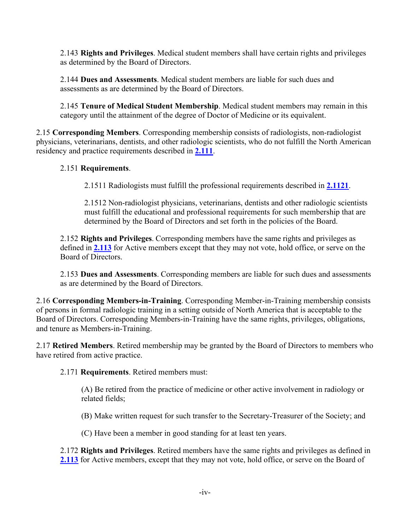2.143 **Rights and Privileges**. Medical student members shall have certain rights and privileges as determined by the Board of Directors.

2.144 **Dues and Assessments**. Medical student members are liable for such dues and assessments as are determined by the Board of Directors.

2.145 **Tenure of Medical Student Membership**. Medical student members may remain in this category until the attainment of the degree of Doctor of Medicine or its equivalent.

<span id="page-5-0"></span>2.15 **Corresponding Members**. Corresponding membership consists of radiologists, non-radiologist physicians, veterinarians, dentists, and other radiologic scientists, who do not fulfill the North American residency and practice requirements described in **[2.111](#page-3-0)**.

## 2.151 **Requirements**.

2.1511 Radiologists must fulfill the professional requirements described in **[2.1121](#page-3-5)**.

2.1512 Non-radiologist physicians, veterinarians, dentists and other radiologic scientists must fulfill the educational and professional requirements for such membership that are determined by the Board of Directors and set forth in the policies of the Board.

2.152 **Rights and Privileges**. Corresponding members have the same rights and privileges as defined in **[2.113](#page-3-2)** for Active members except that they may not vote, hold office, or serve on the Board of Directors.

2.153 **Dues and Assessments**. Corresponding members are liable for such dues and assessments as are determined by the Board of Directors.

2.16 **Corresponding Members-in-Training**. Corresponding Member-in-Training membership consists of persons in formal radiologic training in a setting outside of North America that is acceptable to the Board of Directors. Corresponding Members-in-Training have the same rights, privileges, obligations, and tenure as Members-in-Training.

2.17 **Retired Members**. Retired membership may be granted by the Board of Directors to members who have retired from active practice.

2.171 **Requirements**. Retired members must:

(A) Be retired from the practice of medicine or other active involvement in radiology or related fields;

(B) Make written request for such transfer to the Secretary-Treasurer of the Society; and

(C) Have been a member in good standing for at least ten years.

2.172 **Rights and Privileges**. Retired members have the same rights and privileges as defined in **[2.113](#page-3-2)** for Active members, except that they may not vote, hold office, or serve on the Board of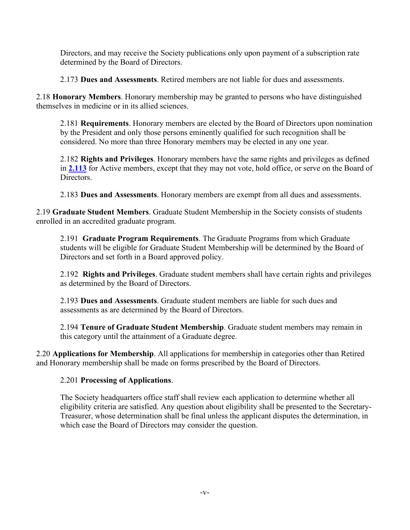Directors, and may receive the Society publications only upon payment of a subscription rate determined by the Board of Directors.

2.173 **Dues and Assessments**. Retired members are not liable for dues and assessments.

<span id="page-6-0"></span>2.18 **Honorary Members**. Honorary membership may be granted to persons who have distinguished themselves in medicine or in its allied sciences.

2.181 **Requirements**. Honorary members are elected by the Board of Directors upon nomination by the President and only those persons eminently qualified for such recognition shall be considered. No more than three Honorary members may be elected in any one year.

2.182 **Rights and Privileges**. Honorary members have the same rights and privileges as defined in **[2.113](#page-3-2)** for Active members, except that they may not vote, hold office, or serve on the Board of Directors.

2.183 **Dues and Assessments**. Honorary members are exempt from all dues and assessments.

2.19 **Graduate Student Members**. Graduate Student Membership in the Society consists of students enrolled in an accredited graduate program.

2.191 **Graduate Program Requirements**. The Graduate Programs from which Graduate students will be eligible for Graduate Student Membership will be determined by the Board of Directors and set forth in a Board approved policy.

2.192 **Rights and Privileges**. Graduate student members shall have certain rights and privileges as determined by the Board of Directors.

2.193 **Dues and Assessments**. Graduate student members are liable for such dues and assessments as are determined by the Board of Directors.

2.194 **Tenure of Graduate Student Membership**. Graduate student members may remain in this category until the attainment of a Graduate degree.

2.20 **Applications for Membership**. All applications for membership in categories other than Retired and Honorary membership shall be made on forms prescribed by the Board of Directors.

## 2.201 **Processing of Applications**.

The Society headquarters office staff shall review each application to determine whether all eligibility criteria are satisfied. Any question about eligibility shall be presented to the Secretary-Treasurer, whose determination shall be final unless the applicant disputes the determination, in which case the Board of Directors may consider the question.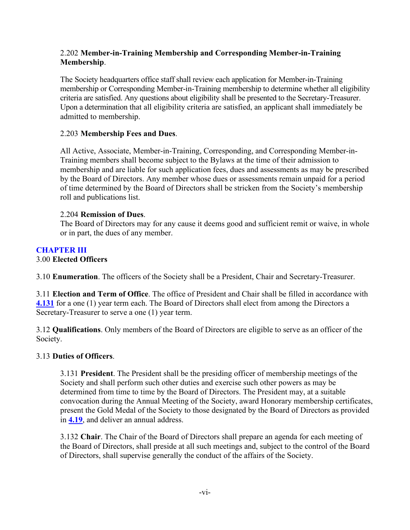### 2.202 **Member-in-Training Membership and Corresponding Member-in-Training Membership**.

The Society headquarters office staff shall review each application for Member-in-Training membership or Corresponding Member-in-Training membership to determine whether all eligibility criteria are satisfied. Any questions about eligibility shall be presented to the Secretary-Treasurer. Upon a determination that all eligibility criteria are satisfied, an applicant shall immediately be admitted to membership.

## 2.203 **Membership Fees and Dues**.

All Active, Associate, Member-in-Training, Corresponding, and Corresponding Member-in-Training members shall become subject to the Bylaws at the time of their admission to membership and are liable for such application fees, dues and assessments as may be prescribed by the Board of Directors. Any member whose dues or assessments remain unpaid for a period of time determined by the Board of Directors shall be stricken from the Society's membership roll and publications list.

### 2.204 **Remission of Dues**.

The Board of Directors may for any cause it deems good and sufficient remit or waive, in whole or in part, the dues of any member.

## <span id="page-7-0"></span>**CHAPTER III**

### 3.00 **[Elected Officers](#page-2-2)**

3.10 **Enumeration**. The officers of the Society shall be a President, Chair and Secretary-Treasurer.

<span id="page-7-3"></span>3.11 **Election and Term of Office**. The office of President and Chair shall be filled in accordance with **[4.131](#page-9-0)** for a one (1) year term each. The Board of Directors shall elect from among the Directors a Secretary-Treasurer to serve a one (1) year term.

3.12 **Qualifications**. Only members of the Board of Directors are eligible to serve as an officer of the Society.

### <span id="page-7-1"></span>3.13 **Duties of Officers**.

3.131 **President**. The President shall be the presiding officer of membership meetings of the Society and shall perform such other duties and exercise such other powers as may be determined from time to time by the Board of Directors. The President may, at a suitable convocation during the Annual Meeting of the Society, award Honorary membership certificates, present the Gold Medal of the Society to those designated by the Board of Directors as provided in **[4.19](#page-11-0)**, and deliver an annual address.

<span id="page-7-2"></span>3.132 **Chair**. The Chair of the Board of Directors shall prepare an agenda for each meeting of the Board of Directors, shall preside at all such meetings and, subject to the control of the Board of Directors, shall supervise generally the conduct of the affairs of the Society.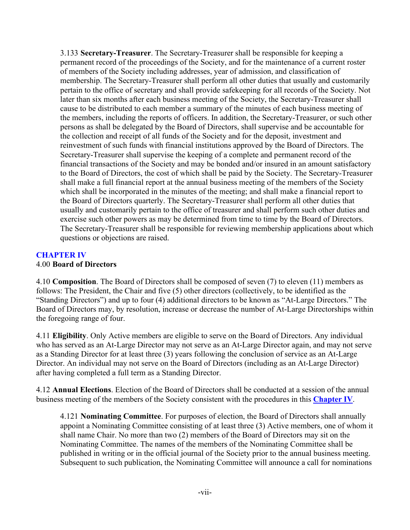3.133 **Secretary-Treasurer**. The Secretary-Treasurer shall be responsible for keeping a permanent record of the proceedings of the Society, and for the maintenance of a current roster of members of the Society including addresses, year of admission, and classification of membership. The Secretary-Treasurer shall perform all other duties that usually and customarily pertain to the office of secretary and shall provide safekeeping for all records of the Society. Not later than six months after each business meeting of the Society, the Secretary-Treasurer shall cause to be distributed to each member a summary of the minutes of each business meeting of the members, including the reports of officers. In addition, the Secretary-Treasurer, or such other persons as shall be delegated by the Board of Directors, shall supervise and be accountable for the collection and receipt of all funds of the Society and for the deposit, investment and reinvestment of such funds with financial institutions approved by the Board of Directors. The Secretary-Treasurer shall supervise the keeping of a complete and permanent record of the financial transactions of the Society and may be bonded and/or insured in an amount satisfactory to the Board of Directors, the cost of which shall be paid by the Society. The Secretary-Treasurer shall make a full financial report at the annual business meeting of the members of the Society which shall be incorporated in the minutes of the meeting; and shall make a financial report to the Board of Directors quarterly. The Secretary-Treasurer shall perform all other duties that usually and customarily pertain to the office of treasurer and shall perform such other duties and exercise such other powers as may be determined from time to time by the Board of Directors. The Secretary-Treasurer shall be responsible for reviewing membership applications about which questions or objections are raised.

# <span id="page-8-0"></span>**CHAPTER IV**

### 4.00 **Board of Directors**

<span id="page-8-1"></span>4.10 **Composition**. The Board of Directors shall be composed of seven (7) to eleven (11) members as follows: The President, the Chair and five (5) other directors (collectively, to be identified as the "Standing Directors") and up to four (4) additional directors to be known as "At-Large Directors." The Board of Directors may, by resolution, increase or decrease the number of At-Large Directorships within the foregoing range of four.

4.11 **Eligibility**. Only Active members are eligible to serve on the Board of Directors. Any individual who has served as an At-Large Director may not serve as an At-Large Director again, and may not serve as a Standing Director for at least three (3) years following the conclusion of service as an At-Large Director. An individual may not serve on the Board of Directors (including as an At-Large Director) after having completed a full term as a Standing Director.

4.12 **Annual Elections**. Election of the Board of Directors shall be conducted at a session of the annual business meeting of the members of the Society consistent with the procedures in this **[Chapter](#page-8-0) IV**..

4.121 **Nominating Committee**. For purposes of election, the Board of Directors shall annually appoint a Nominating Committee consisting of at least three (3) Active members, one of whom it shall name Chair. No more than two (2) members of the Board of Directors may sit on the Nominating Committee. The names of the members of the Nominating Committee shall be published in writing or in the official journal of the Society prior to the annual business meeting. Subsequent to such publication, the Nominating Committee will announce a call for nominations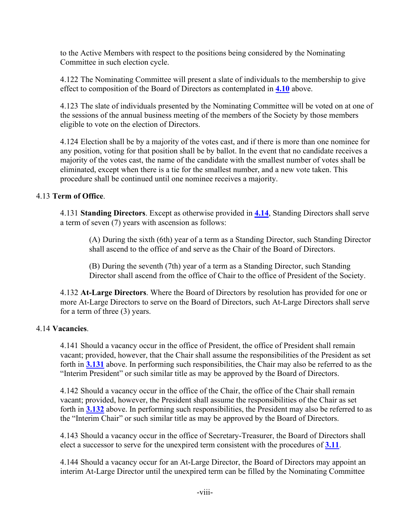to the Active Members with respect to the positions being considered by the Nominating Committee in such election cycle.

4.122 The Nominating Committee will present a slate of individuals to the membership to give effect to composition of the Board of Directors as contemplated in **[4.10](#page-8-1)** above.

4.123 The slate of individuals presented by the Nominating Committee will be voted on at one of the sessions of the annual business meeting of the members of the Society by those members eligible to vote on the election of Directors.

4.124 Election shall be by a majority of the votes cast, and if there is more than one nominee for any position, voting for that position shall be by ballot. In the event that no candidate receives a majority of the votes cast, the name of the candidate with the smallest number of votes shall be eliminated, except when there is a tie for the smallest number, and a new vote taken. This procedure shall be continued until one nominee receives a majority.

#### <span id="page-9-0"></span>4.13 **Term of Office**.

4.131 **Standing Directors**. Except as otherwise provided in **4.14**, Standing Directors shall serve a term of seven (7) years with ascension as follows:

(A) During the sixth (6th) year of a term as a Standing Director, such Standing Director shall ascend to the office of and serve as the Chair of the Board of Directors.

(B) During the seventh (7th) year of a term as a Standing Director, such Standing Director shall ascend from the office of Chair to the office of President of the Society.

4.132 **At-Large Directors**. Where the Board of Directors by resolution has provided for one or more At-Large Directors to serve on the Board of Directors, such At-Large Directors shall serve for a term of three (3) years.

#### 4.14 **Vacancies**.

4.141 Should a vacancy occur in the office of President, the office of President shall remain vacant; provided, however, that the Chair shall assume the responsibilities of the President as set forth in **[3.131](#page-7-1)** above. In performing such responsibilities, the Chair may also be referred to as the "Interim President" or such similar title as may be approved by the Board of Directors.

4.142 Should a vacancy occur in the office of the Chair, the office of the Chair shall remain vacant; provided, however, the President shall assume the responsibilities of the Chair as set forth in **[3.132](#page-7-2)** above. In performing such responsibilities, the President may also be referred to as the "Interim Chair" or such similar title as may be approved by the Board of Directors.

4.143 Should a vacancy occur in the office of Secretary-Treasurer, the Board of Directors shall elect a successor to serve for the unexpired term consistent with the procedures of **[3.11](#page-7-3)**.

4.144 Should a vacancy occur for an At-Large Director, the Board of Directors may appoint an interim At-Large Director until the unexpired term can be filled by the Nominating Committee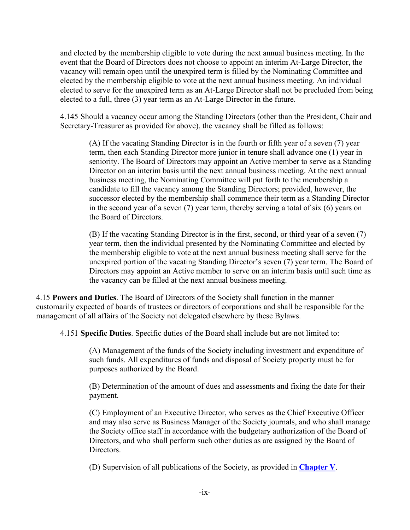and elected by the membership eligible to vote during the next annual business meeting. In the event that the Board of Directors does not choose to appoint an interim At-Large Director, the vacancy will remain open until the unexpired term is filled by the Nominating Committee and elected by the membership eligible to vote at the next annual business meeting. An individual elected to serve for the unexpired term as an At-Large Director shall not be precluded from being elected to a full, three (3) year term as an At-Large Director in the future.

4.145 Should a vacancy occur among the Standing Directors (other than the President, Chair and Secretary-Treasurer as provided for above), the vacancy shall be filled as follows:

(A) If the vacating Standing Director is in the fourth or fifth year of a seven (7) year term, then each Standing Director more junior in tenure shall advance one (1) year in seniority. The Board of Directors may appoint an Active member to serve as a Standing Director on an interim basis until the next annual business meeting. At the next annual business meeting, the Nominating Committee will put forth to the membership a candidate to fill the vacancy among the Standing Directors; provided, however, the successor elected by the membership shall commence their term as a Standing Director in the second year of a seven (7) year term, thereby serving a total of six (6) years on the Board of Directors.

(B) If the vacating Standing Director is in the first, second, or third year of a seven (7) year term, then the individual presented by the Nominating Committee and elected by the membership eligible to vote at the next annual business meeting shall serve for the unexpired portion of the vacating Standing Director's seven (7) year term. The Board of Directors may appoint an Active member to serve on an interim basis until such time as the vacancy can be filled at the next annual business meeting.

4.15 **Powers and Duties**. The Board of Directors of the Society shall function in the manner customarily expected of boards of trustees or directors of corporations and shall be responsible for the management of all affairs of the Society not delegated elsewhere by these Bylaws.

4.151 **Specific Duties**. Specific duties of the Board shall include but are not limited to:

(A) Management of the funds of the Society including investment and expenditure of such funds. All expenditures of funds and disposal of Society property must be for purposes authorized by the Board.

(B) Determination of the amount of dues and assessments and fixing the date for their payment.

(C) Employment of an Executive Director, who serves as the Chief Executive Officer and may also serve as Business Manager of the Society journals, and who shall manage the Society office staff in accordance with the budgetary authorization of the Board of Directors, and who shall perform such other duties as are assigned by the Board of Directors.

(D) Supervision of all publications of the Society, as provided in **[Chapter V](#page-12-0)**.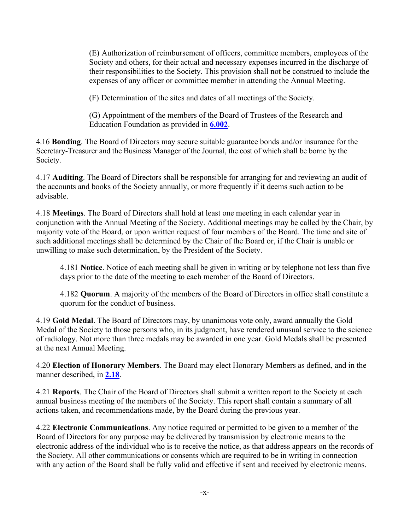(E) Authorization of reimbursement of officers, committee members, employees of the Society and others, for their actual and necessary expenses incurred in the discharge of their responsibilities to the Society. This provision shall not be construed to include the expenses of any officer or committee member in attending the Annual Meeting.

(F) Determination of the sites and dates of all meetings of the Society.

(G) Appointment of the members of the Board of Trustees of the Research and Education Foundation as provided in **[6.002](#page-12-4)**.

4.16 **Bonding**. The Board of Directors may secure suitable guarantee bonds and/or insurance for the Secretary-Treasurer and the Business Manager of the Journal, the cost of which shall be borne by the Society.

4.17 **Auditing**. The Board of Directors shall be responsible for arranging for and reviewing an audit of the accounts and books of the Society annually, or more frequently if it deems such action to be advisable.

4.18 **Meetings**. The Board of Directors shall hold at least one meeting in each calendar year in conjunction with the Annual Meeting of the Society. Additional meetings may be called by the Chair, by majority vote of the Board, or upon written request of four members of the Board. The time and site of such additional meetings shall be determined by the Chair of the Board or, if the Chair is unable or unwilling to make such determination, by the President of the Society.

4.181 **Notice**. Notice of each meeting shall be given in writing or by telephone not less than five days prior to the date of the meeting to each member of the Board of Directors.

4.182 **Quorum**. A majority of the members of the Board of Directors in office shall constitute a quorum for the conduct of business.

<span id="page-11-0"></span>4.19 **Gold Medal**. The Board of Directors may, by unanimous vote only, award annually the Gold Medal of the Society to those persons who, in its judgment, have rendered unusual service to the science of radiology. Not more than three medals may be awarded in one year. Gold Medals shall be presented at the next Annual Meeting.

4.20 **Election of Honorary Members**. The Board may elect Honorary Members as defined, and in the manner described, in **[2.18](#page-6-0)**.

4.21 **Reports**. The Chair of the Board of Directors shall submit a written report to the Society at each annual business meeting of the members of the Society. This report shall contain a summary of all actions taken, and recommendations made, by the Board during the previous year.

4.22 **Electronic Communications**. Any notice required or permitted to be given to a member of the Board of Directors for any purpose may be delivered by transmission by electronic means to the electronic address of the individual who is to receive the notice, as that address appears on the records of the Society. All other communications or consents which are required to be in writing in connection with any action of the Board shall be fully valid and effective if sent and received by electronic means.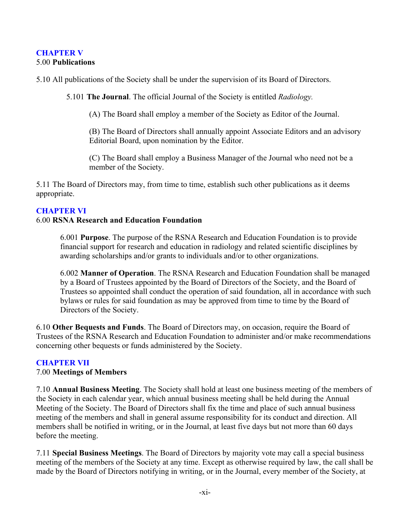### <span id="page-12-3"></span><span id="page-12-0"></span>**CHAPTER [V](#page-1-0)** 5.00 **Publications**

5.10 All publications of the Society shall be under the supervision of its Board of Directors.

5.101 **The Journal**. The official Journal of the Society is entitled *Radiology.*

(A) The Board shall employ a member of the Society as Editor of the Journal.

(B) The Board of Directors shall annually appoint Associate Editors and an advisory Editorial Board, upon nomination by the Editor.

(C) The Board shall employ a Business Manager of the Journal who need not be a member of the Society.

5.11 The Board of Directors may, from time to time, establish such other publications as it deems appropriate.

## <span id="page-12-1"></span>**CHAPTER VI**

### 6.00 **RSNA Research and Education Foundation**

6.001 **Purpose**. The purpose of the RSNA Research and Education Foundation is to provide financial support for research and education in radiology and related scientific disciplines by awarding scholarships and/or grants to individuals and/or to other organizations.

<span id="page-12-4"></span>6.002 **Manner of Operation**. The RSNA Research and Education Foundation shall be managed by a Board of Trustees appointed by the Board of Directors of the Society, and the Board of Trustees so appointed shall conduct the operation of said foundation, all in accordance with such bylaws or rules for said foundation as may be approved from time to time by the Board of Directors of the Society.

6.10 **Other Bequests and Funds**. The Board of Directors may, on occasion, require the Board of Trustees of the RSNA Research and Education Foundation to administer and/or make recommendations concerning other bequests or funds administered by the Society.

## <span id="page-12-2"></span>**CHAPTER VI[I](#page-1-1)**

### 7.00 **Meetings of Members**

7.10 **Annual Business Meeting**. The Society shall hold at least one business meeting of the members of the Society in each calendar year, which annual business meeting shall be held during the Annual Meeting of the Society. The Board of Directors shall fix the time and place of such annual business meeting of the members and shall in general assume responsibility for its conduct and direction. All members shall be notified in writing, or in the Journal, at least five days but not more than 60 days before the meeting.

7.11 **Special Business Meetings**. The Board of Directors by majority vote may call a special business meeting of the members of the Society at any time. Except as otherwise required by law, the call shall be made by the Board of Directors notifying in writing, or in the Journal, every member of the Society, at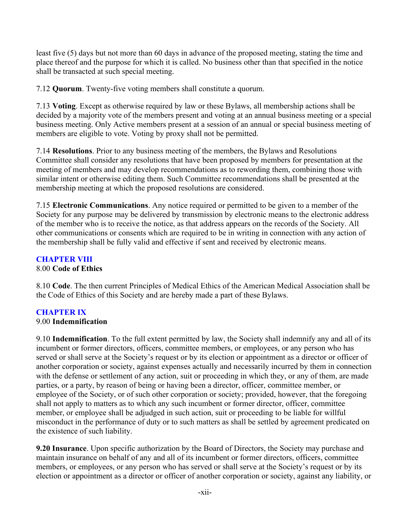least five (5) days but not more than 60 days in advance of the proposed meeting, stating the time and place thereof and the purpose for which it is called. No business other than that specified in the notice shall be transacted at such special meeting.

7.12 **Quorum**. Twenty-five voting members shall constitute a quorum.

7.13 **Voting**. Except as otherwise required by law or these Bylaws, all membership actions shall be decided by a majority vote of the members present and voting at an annual business meeting or a special business meeting. Only Active members present at a session of an annual or special business meeting of members are eligible to vote. Voting by proxy shall not be permitted.

7.14 **Resolutions**. Prior to any business meeting of the members, the Bylaws and Resolutions Committee shall consider any resolutions that have been proposed by members for presentation at the meeting of members and may develop recommendations as to rewording them, combining those with similar intent or otherwise editing them. Such Committee recommendations shall be presented at the membership meeting at which the proposed resolutions are considered.

7.15 **Electronic Communications**. Any notice required or permitted to be given to a member of the Society for any purpose may be delivered by transmission by electronic means to the electronic address of the member who is to receive the notice, as that address appears on the records of the Society. All other communications or consents which are required to be in writing in connection with any action of the membership shall be fully valid and effective if sent and received by electronic means.

### <span id="page-13-0"></span>**CHAPTER VIII** 8.00 **Code of Ethics**

8.10 **Code**. The then current Principles of Medical Ethics of the American Medical Association shall be the Code of Ethics of this Society and are hereby made a part of these Bylaws.

# <span id="page-13-1"></span>**CHAPTER IX**

## 9.00 **Indemnification**

<span id="page-13-2"></span>9.10 **Indemnification**. To the full extent permitted by law, the Society shall indemnify any and all of its incumbent or former directors, officers, committee members, or employees, or any person who has served or shall serve at the Society's request or by its election or appointment as a director or officer of another corporation or society, against expenses actually and necessarily incurred by them in connection with the defense or settlement of any action, suit or proceeding in which they, or any of them, are made parties, or a party, by reason of being or having been a director, officer, committee member, or employee of the Society, or of such other corporation or society; provided, however, that the foregoing shall not apply to matters as to which any such incumbent or former director, officer, committee member, or employee shall be adjudged in such action, suit or proceeding to be liable for willful misconduct in the performance of duty or to such matters as shall be settled by agreement predicated on the existence of such liability.

**9.20 Insurance**. Upon specific authorization by the Board of Directors, the Society may purchase and maintain insurance on behalf of any and all of its incumbent or former directors, officers, committee members, or employees, or any person who has served or shall serve at the Society's request or by its election or appointment as a director or officer of another corporation or society, against any liability, or